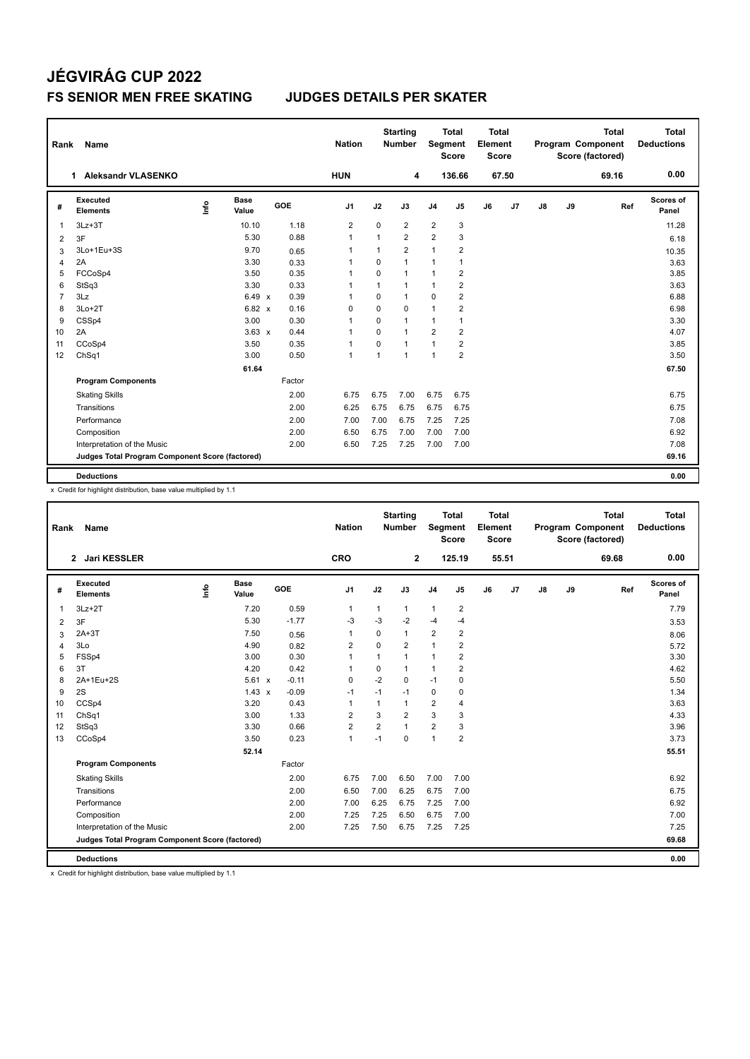# **JÉGVIRÁG CUP 2022 FS SENIOR MEN FREE SKATING JUDGES DETAILS PER SKATER**

| Name                               |                                 |                      |                                                                                               | <b>Nation</b>            |              |                |                                       |                |                                                   |                |                                                  |    | <b>Total</b> | <b>Total</b><br><b>Deductions</b>            |
|------------------------------------|---------------------------------|----------------------|-----------------------------------------------------------------------------------------------|--------------------------|--------------|----------------|---------------------------------------|----------------|---------------------------------------------------|----------------|--------------------------------------------------|----|--------------|----------------------------------------------|
| <b>Aleksandr VLASENKO</b>          |                                 |                      |                                                                                               | <b>HUN</b>               |              |                |                                       |                |                                                   |                |                                                  |    | 69.16        | 0.00                                         |
| <b>Executed</b><br><b>Elements</b> | lnfo                            | <b>Base</b><br>Value |                                                                                               | J <sub>1</sub>           | J2           | J3             | J <sub>4</sub>                        | J <sub>5</sub> | J6                                                | J <sub>7</sub> | $\mathsf{J}8$                                    | J9 |              | <b>Scores of</b><br>Panel                    |
| $3Lz + 3T$                         |                                 | 10.10                | 1.18                                                                                          | 2                        | 0            | 2              | $\overline{2}$                        | 3              |                                                   |                |                                                  |    |              | 11.28                                        |
| 3F                                 |                                 | 5.30                 | 0.88                                                                                          | $\mathbf{1}$             | $\mathbf{1}$ | $\overline{2}$ | $\overline{2}$                        | 3              |                                                   |                |                                                  |    |              | 6.18                                         |
| 3Lo+1Eu+3S                         |                                 | 9.70                 | 0.65                                                                                          | $\mathbf 1$              | 1            | $\overline{2}$ | $\mathbf{1}$                          | $\overline{2}$ |                                                   |                |                                                  |    |              | 10.35                                        |
| 2A                                 |                                 | 3.30                 | 0.33                                                                                          | $\mathbf 1$              | $\mathbf 0$  | 1              | $\mathbf{1}$                          | 1              |                                                   |                |                                                  |    |              | 3.63                                         |
| FCCoSp4                            |                                 | 3.50                 | 0.35                                                                                          | $\mathbf 1$              | $\mathbf 0$  | 1              | $\mathbf{1}$                          | $\overline{2}$ |                                                   |                |                                                  |    |              | 3.85                                         |
| StSq3                              |                                 | 3.30                 | 0.33                                                                                          | $\overline{\phantom{a}}$ | $\mathbf{1}$ | 1              | $\mathbf{1}$                          | $\overline{2}$ |                                                   |                |                                                  |    |              | 3.63                                         |
| 3Lz                                |                                 |                      | 0.39                                                                                          | $\overline{\phantom{a}}$ | 0            | 1              | $\mathbf 0$                           | $\overline{2}$ |                                                   |                |                                                  |    |              | 6.88                                         |
| $3Lo+2T$                           |                                 |                      | 0.16                                                                                          | $\mathbf 0$              | $\mathbf 0$  | 0              | $\mathbf{1}$                          | $\overline{2}$ |                                                   |                |                                                  |    |              | 6.98                                         |
| CSSp4                              |                                 | 3.00                 | 0.30                                                                                          | $\overline{1}$           | $\Omega$     | 1              | $\mathbf{1}$                          | $\mathbf{1}$   |                                                   |                |                                                  |    |              | 3.30                                         |
| 2A                                 |                                 |                      | 0.44                                                                                          | -1                       | $\Omega$     | 1              | $\overline{2}$                        | $\overline{2}$ |                                                   |                |                                                  |    |              | 4.07                                         |
| CCoSp4                             |                                 | 3.50                 | 0.35                                                                                          | $\mathbf{1}$             | $\mathbf 0$  | 1              | $\overline{1}$                        | $\overline{2}$ |                                                   |                |                                                  |    |              | 3.85                                         |
| ChSq1                              |                                 | 3.00                 | 0.50                                                                                          | $\mathbf{1}$             | $\mathbf{1}$ | 1              | $\mathbf{1}$                          | $\overline{2}$ |                                                   |                |                                                  |    |              | 3.50                                         |
|                                    |                                 |                      |                                                                                               |                          |              |                |                                       |                |                                                   |                |                                                  |    |              | 67.50                                        |
| <b>Program Components</b>          |                                 |                      | Factor                                                                                        |                          |              |                |                                       |                |                                                   |                |                                                  |    |              |                                              |
| <b>Skating Skills</b>              |                                 |                      | 2.00                                                                                          | 6.75                     | 6.75         | 7.00           | 6.75                                  | 6.75           |                                                   |                |                                                  |    |              | 6.75                                         |
| Transitions                        |                                 |                      | 2.00                                                                                          | 6.25                     | 6.75         | 6.75           | 6.75                                  | 6.75           |                                                   |                |                                                  |    |              | 6.75                                         |
| Performance                        |                                 |                      | 2.00                                                                                          | 7.00                     | 7.00         | 6.75           | 7.25                                  | 7.25           |                                                   |                |                                                  |    |              | 7.08                                         |
| Composition                        |                                 |                      | 2.00                                                                                          | 6.50                     | 6.75         | 7.00           | 7.00                                  | 7.00           |                                                   |                |                                                  |    |              | 6.92                                         |
| Interpretation of the Music        |                                 |                      | 2.00                                                                                          | 6.50                     | 7.25         | 7.25           | 7.00                                  | 7.00           |                                                   |                |                                                  |    |              | 7.08                                         |
|                                    |                                 |                      |                                                                                               |                          |              |                |                                       |                |                                                   |                |                                                  |    |              | 69.16                                        |
|                                    |                                 |                      |                                                                                               |                          |              |                |                                       |                |                                                   |                |                                                  |    |              | 0.00                                         |
|                                    | Rank<br>1.<br><b>Deductions</b> |                      | 6.49 x<br>6.82 x<br>$3.63 \times$<br>61.64<br>Judges Total Program Component Score (factored) | GOE                      |              |                | <b>Starting</b><br><b>Number</b><br>4 |                | <b>Total</b><br>Segment<br><b>Score</b><br>136.66 |                | <b>Total</b><br>Element<br><b>Score</b><br>67.50 |    |              | Program Component<br>Score (factored)<br>Ref |

x Credit for highlight distribution, base value multiplied by 1.1

| Rank           | Name                                            |             |                      |            | <b>Nation</b>  |                | <b>Starting</b><br><b>Number</b> | Segment        | <b>Total</b><br><b>Score</b> | <b>Total</b><br>Element<br><b>Score</b> |       |               |    | <b>Total</b><br><b>Program Component</b><br>Score (factored) | <b>Total</b><br><b>Deductions</b> |
|----------------|-------------------------------------------------|-------------|----------------------|------------|----------------|----------------|----------------------------------|----------------|------------------------------|-----------------------------------------|-------|---------------|----|--------------------------------------------------------------|-----------------------------------|
|                | 2 Jari KESSLER                                  |             |                      |            | <b>CRO</b>     |                | $\mathbf{2}$                     |                | 125.19                       |                                         | 55.51 |               |    | 69.68                                                        | 0.00                              |
| #              | Executed<br><b>Elements</b>                     | <u>lnfo</u> | <b>Base</b><br>Value | <b>GOE</b> | J1             | J2             | J3                               | J <sub>4</sub> | J5                           | J6                                      | J7    | $\mathsf{J}8$ | J9 | Ref                                                          | Scores of<br>Panel                |
| -1             | $3Lz + 2T$                                      |             | 7.20                 | 0.59       | 1              | 1              | $\mathbf{1}$                     | $\mathbf{1}$   | 2                            |                                         |       |               |    |                                                              | 7.79                              |
| 2              | 3F                                              |             | 5.30                 | $-1.77$    | -3             | $-3$           | $-2$                             | $-4$           | -4                           |                                         |       |               |    |                                                              | 3.53                              |
| 3              | $2A+3T$                                         |             | 7.50                 | 0.56       | $\overline{1}$ | $\mathbf 0$    | $\mathbf{1}$                     | $\overline{2}$ | $\overline{2}$               |                                         |       |               |    |                                                              | 8.06                              |
| $\overline{4}$ | 3Lo                                             |             | 4.90                 | 0.82       | 2              | $\mathbf 0$    | $\overline{2}$                   | $\mathbf{1}$   | $\overline{2}$               |                                         |       |               |    |                                                              | 5.72                              |
| 5              | FSSp4                                           |             | 3.00                 | 0.30       | $\overline{1}$ | 1              | $\mathbf{1}$                     | 1              | 2                            |                                         |       |               |    |                                                              | 3.30                              |
| 6              | 3T                                              |             | 4.20                 | 0.42       | $\overline{1}$ | $\mathbf 0$    | $\mathbf{1}$                     | 1              | $\overline{2}$               |                                         |       |               |    |                                                              | 4.62                              |
| 8              | 2A+1Eu+2S                                       |             | 5.61 x               | $-0.11$    | 0              | $-2$           | $\mathbf 0$                      | $-1$           | $\mathbf 0$                  |                                         |       |               |    |                                                              | 5.50                              |
| 9              | 2S                                              |             | $1.43 \times$        | $-0.09$    | $-1$           | $-1$           | $-1$                             | $\mathbf 0$    | 0                            |                                         |       |               |    |                                                              | 1.34                              |
| 10             | CCSp4                                           |             | 3.20                 | 0.43       | $\mathbf{1}$   | $\mathbf{1}$   | $\mathbf{1}$                     | 2              | $\overline{4}$               |                                         |       |               |    |                                                              | 3.63                              |
| 11             | ChSq1                                           |             | 3.00                 | 1.33       | 2              | 3              | $\overline{2}$                   | 3              | 3                            |                                         |       |               |    |                                                              | 4.33                              |
| 12             | StSq3                                           |             | 3.30                 | 0.66       | $\overline{2}$ | $\overline{2}$ | $\mathbf{1}$                     | 2              | 3                            |                                         |       |               |    |                                                              | 3.96                              |
| 13             | CCoSp4                                          |             | 3.50                 | 0.23       | $\mathbf{1}$   | $-1$           | $\Omega$                         | $\mathbf{1}$   | $\overline{2}$               |                                         |       |               |    |                                                              | 3.73                              |
|                |                                                 |             | 52.14                |            |                |                |                                  |                |                              |                                         |       |               |    |                                                              | 55.51                             |
|                | <b>Program Components</b>                       |             |                      | Factor     |                |                |                                  |                |                              |                                         |       |               |    |                                                              |                                   |
|                | <b>Skating Skills</b>                           |             |                      | 2.00       | 6.75           | 7.00           | 6.50                             | 7.00           | 7.00                         |                                         |       |               |    |                                                              | 6.92                              |
|                | Transitions                                     |             |                      | 2.00       | 6.50           | 7.00           | 6.25                             | 6.75           | 7.00                         |                                         |       |               |    |                                                              | 6.75                              |
|                | Performance                                     |             |                      | 2.00       | 7.00           | 6.25           | 6.75                             | 7.25           | 7.00                         |                                         |       |               |    |                                                              | 6.92                              |
|                | Composition                                     |             |                      | 2.00       | 7.25           | 7.25           | 6.50                             | 6.75           | 7.00                         |                                         |       |               |    |                                                              | 7.00                              |
|                | Interpretation of the Music                     |             |                      | 2.00       | 7.25           | 7.50           | 6.75                             | 7.25           | 7.25                         |                                         |       |               |    |                                                              | 7.25                              |
|                | Judges Total Program Component Score (factored) |             |                      |            |                |                |                                  |                |                              |                                         |       |               |    |                                                              | 69.68                             |
|                | <b>Deductions</b>                               |             |                      |            |                |                |                                  |                |                              |                                         |       |               |    |                                                              | 0.00                              |

x Credit for highlight distribution, base value multiplied by 1.1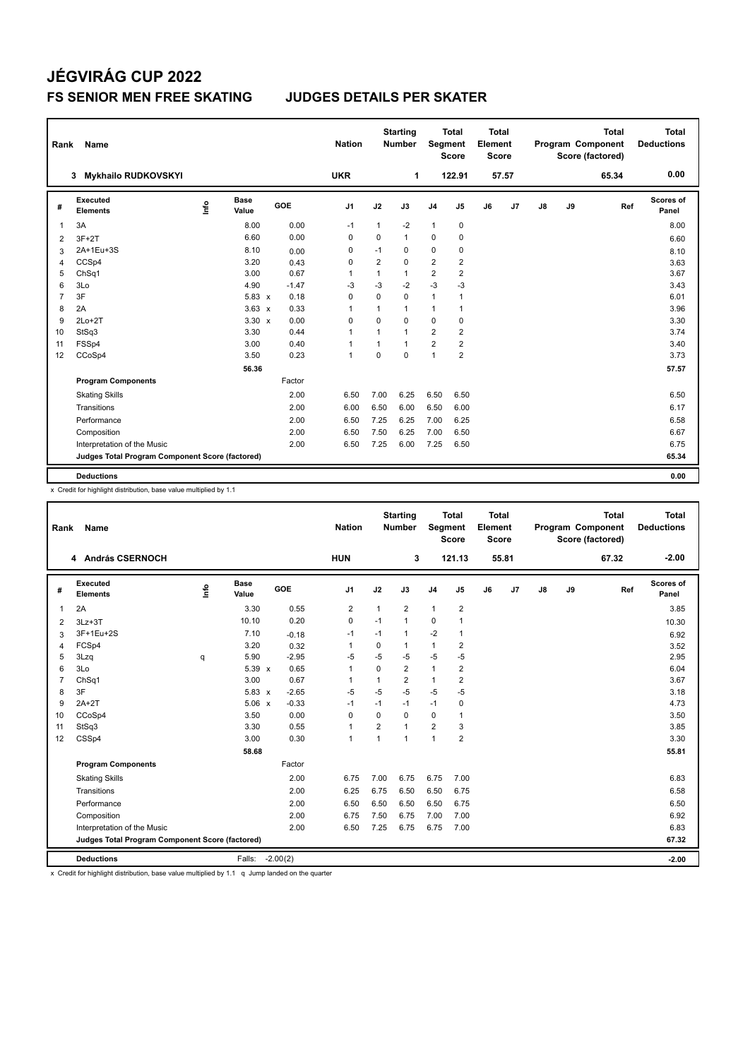### **JÉGVIRÁG CUP 2022 FS SENIOR MEN FREE SKATING JUDGES DETAILS PER SKATER**

| Rank           | Name                                            |      |                      |         | <b>Nation</b>  |                | <b>Starting</b><br><b>Number</b> | Segment        | <b>Total</b><br><b>Score</b> | <b>Total</b><br>Element<br><b>Score</b> |       |               |    | <b>Total</b><br>Program Component<br>Score (factored) | <b>Total</b><br><b>Deductions</b> |
|----------------|-------------------------------------------------|------|----------------------|---------|----------------|----------------|----------------------------------|----------------|------------------------------|-----------------------------------------|-------|---------------|----|-------------------------------------------------------|-----------------------------------|
|                | <b>Mykhailo RUDKOVSKYI</b><br>3                 |      |                      |         | <b>UKR</b>     |                | 1                                |                | 122.91                       |                                         | 57.57 |               |    | 65.34                                                 | 0.00                              |
| #              | Executed<br><b>Elements</b>                     | ١nf٥ | <b>Base</b><br>Value | GOE     | J <sub>1</sub> | J2             | J3                               | J <sub>4</sub> | J5                           | J6                                      | J7    | $\mathsf{J}8$ | J9 | Ref                                                   | <b>Scores of</b><br>Panel         |
| $\mathbf{1}$   | 3A                                              |      | 8.00                 | 0.00    | $-1$           | 1              | $-2$                             | $\mathbf{1}$   | 0                            |                                         |       |               |    |                                                       | 8.00                              |
| 2              | $3F+2T$                                         |      | 6.60                 | 0.00    | 0              | 0              | $\mathbf{1}$                     | 0              | 0                            |                                         |       |               |    |                                                       | 6.60                              |
| 3              | 2A+1Eu+3S                                       |      | 8.10                 | 0.00    | 0              | $-1$           | 0                                | $\mathbf 0$    | 0                            |                                         |       |               |    |                                                       | 8.10                              |
| 4              | CCSp4                                           |      | 3.20                 | 0.43    | 0              | $\overline{2}$ | 0                                | $\overline{2}$ | $\overline{\mathbf{c}}$      |                                         |       |               |    |                                                       | 3.63                              |
| 5              | ChSq1                                           |      | 3.00                 | 0.67    | $\mathbf{1}$   | 1              | $\mathbf{1}$                     | $\overline{2}$ | $\overline{\mathbf{c}}$      |                                         |       |               |    |                                                       | 3.67                              |
| 6              | 3Lo                                             |      | 4.90                 | $-1.47$ | $-3$           | $-3$           | $-2$                             | -3             | $-3$                         |                                         |       |               |    |                                                       | 3.43                              |
| $\overline{7}$ | 3F                                              |      | $5.83 \times$        | 0.18    | $\mathbf 0$    | $\mathbf 0$    | 0                                | $\mathbf{1}$   | 1                            |                                         |       |               |    |                                                       | 6.01                              |
| 8              | 2A                                              |      | $3.63 \times$        | 0.33    | $\mathbf 1$    | 1              | 1                                | $\mathbf{1}$   | -1                           |                                         |       |               |    |                                                       | 3.96                              |
| 9              | $2Lo+2T$                                        |      | $3.30 \times$        | 0.00    | 0              | $\mathbf 0$    | 0                                | $\mathbf 0$    | 0                            |                                         |       |               |    |                                                       | 3.30                              |
| 10             | StSq3                                           |      | 3.30                 | 0.44    | $\mathbf{1}$   | $\mathbf{1}$   | $\mathbf{1}$                     | $\overline{2}$ | $\overline{2}$               |                                         |       |               |    |                                                       | 3.74                              |
| 11             | FSSp4                                           |      | 3.00                 | 0.40    | 1              |                | $\mathbf{1}$                     | $\overline{2}$ | $\overline{2}$               |                                         |       |               |    |                                                       | 3.40                              |
| 12             | CCoSp4                                          |      | 3.50                 | 0.23    | $\mathbf{1}$   | $\mathbf 0$    | 0                                | $\overline{1}$ | $\overline{2}$               |                                         |       |               |    |                                                       | 3.73                              |
|                |                                                 |      | 56.36                |         |                |                |                                  |                |                              |                                         |       |               |    |                                                       | 57.57                             |
|                | <b>Program Components</b>                       |      |                      | Factor  |                |                |                                  |                |                              |                                         |       |               |    |                                                       |                                   |
|                | <b>Skating Skills</b>                           |      |                      | 2.00    | 6.50           | 7.00           | 6.25                             | 6.50           | 6.50                         |                                         |       |               |    |                                                       | 6.50                              |
|                | Transitions                                     |      |                      | 2.00    | 6.00           | 6.50           | 6.00                             | 6.50           | 6.00                         |                                         |       |               |    |                                                       | 6.17                              |
|                | Performance                                     |      |                      | 2.00    | 6.50           | 7.25           | 6.25                             | 7.00           | 6.25                         |                                         |       |               |    |                                                       | 6.58                              |
|                | Composition                                     |      |                      | 2.00    | 6.50           | 7.50           | 6.25                             | 7.00           | 6.50                         |                                         |       |               |    |                                                       | 6.67                              |
|                | Interpretation of the Music                     |      |                      | 2.00    | 6.50           | 7.25           | 6.00                             | 7.25           | 6.50                         |                                         |       |               |    |                                                       | 6.75                              |
|                | Judges Total Program Component Score (factored) |      |                      |         |                |                |                                  |                |                              |                                         |       |               |    |                                                       | 65.34                             |
|                |                                                 |      |                      |         |                |                |                                  |                |                              |                                         |       |               |    |                                                       |                                   |
|                | <b>Deductions</b>                               |      |                      |         |                |                |                                  |                |                              |                                         |       |               |    |                                                       | 0.00                              |

x Credit for highlight distribution, base value multiplied by 1.1

| Rank           | Name                                            |   |                      |            | <b>Nation</b>  |                | <b>Starting</b><br><b>Number</b> | Segment        | <b>Total</b><br><b>Score</b> | <b>Total</b><br>Element<br><b>Score</b> |       |               |    | <b>Total</b><br><b>Program Component</b><br>Score (factored) | <b>Total</b><br><b>Deductions</b> |
|----------------|-------------------------------------------------|---|----------------------|------------|----------------|----------------|----------------------------------|----------------|------------------------------|-----------------------------------------|-------|---------------|----|--------------------------------------------------------------|-----------------------------------|
|                | 4 András CSERNOCH                               |   |                      |            | <b>HUN</b>     |                | 3                                |                | 121.13                       |                                         | 55.81 |               |    | 67.32                                                        | $-2.00$                           |
| #              | Executed<br><b>Elements</b>                     | ۴ | <b>Base</b><br>Value | <b>GOE</b> | J1             | J2             | J3                               | J <sub>4</sub> | J5                           | J6                                      | J7    | $\mathsf{J}8$ | J9 | Ref                                                          | Scores of<br>Panel                |
| $\mathbf{1}$   | 2A                                              |   | 3.30                 | 0.55       | 2              | 1              | $\overline{2}$                   | $\mathbf{1}$   | 2                            |                                         |       |               |    |                                                              | 3.85                              |
| $\overline{2}$ | $3Lz + 3T$                                      |   | 10.10                | 0.20       | $\pmb{0}$      | $-1$           | $\mathbf{1}$                     | 0              | $\mathbf{1}$                 |                                         |       |               |    |                                                              | 10.30                             |
| 3              | 3F+1Eu+2S                                       |   | 7.10                 | $-0.18$    | $-1$           | $-1$           | $\mathbf{1}$                     | $-2$           | $\mathbf{1}$                 |                                         |       |               |    |                                                              | 6.92                              |
| $\overline{4}$ | FCSp4                                           |   | 3.20                 | 0.32       | $\mathbf{1}$   | 0              | 1                                | 1              | 2                            |                                         |       |               |    |                                                              | 3.52                              |
| 5              | 3Lzq                                            | q | 5.90                 | $-2.95$    | -5             | $-5$           | -5                               | $-5$           | $-5$                         |                                         |       |               |    |                                                              | 2.95                              |
| 6              | 3Lo                                             |   | $5.39 \times$        | 0.65       | $\mathbf{1}$   | 0              | $\overline{2}$                   | $\mathbf{1}$   | $\overline{2}$               |                                         |       |               |    |                                                              | 6.04                              |
| $\overline{7}$ | ChSq1                                           |   | 3.00                 | 0.67       | $\overline{1}$ | 1              | $\overline{2}$                   | $\mathbf{1}$   | $\overline{2}$               |                                         |       |               |    |                                                              | 3.67                              |
| 8              | 3F                                              |   | 5.83 x               | $-2.65$    | $-5$           | $-5$           | $-5$                             | $-5$           | $-5$                         |                                         |       |               |    |                                                              | 3.18                              |
| 9              | $2A+2T$                                         |   | $5.06 \times$        | $-0.33$    | $-1$           | $-1$           | $-1$                             | $-1$           | 0                            |                                         |       |               |    |                                                              | 4.73                              |
| 10             | CCoSp4                                          |   | 3.50                 | 0.00       | 0              | $\mathbf 0$    | $\Omega$                         | 0              | $\mathbf{1}$                 |                                         |       |               |    |                                                              | 3.50                              |
| 11             | StSq3                                           |   | 3.30                 | 0.55       | $\overline{1}$ | $\overline{2}$ | $\mathbf{1}$                     | $\overline{2}$ | 3                            |                                         |       |               |    |                                                              | 3.85                              |
| 12             | CSSp4                                           |   | 3.00                 | 0.30       | $\overline{1}$ | 1              | $\mathbf{1}$                     | 1              | $\overline{2}$               |                                         |       |               |    |                                                              | 3.30                              |
|                |                                                 |   | 58.68                |            |                |                |                                  |                |                              |                                         |       |               |    |                                                              | 55.81                             |
|                | <b>Program Components</b>                       |   |                      | Factor     |                |                |                                  |                |                              |                                         |       |               |    |                                                              |                                   |
|                | <b>Skating Skills</b>                           |   |                      | 2.00       | 6.75           | 7.00           | 6.75                             | 6.75           | 7.00                         |                                         |       |               |    |                                                              | 6.83                              |
|                | Transitions                                     |   |                      | 2.00       | 6.25           | 6.75           | 6.50                             | 6.50           | 6.75                         |                                         |       |               |    |                                                              | 6.58                              |
|                | Performance                                     |   |                      | 2.00       | 6.50           | 6.50           | 6.50                             | 6.50           | 6.75                         |                                         |       |               |    |                                                              | 6.50                              |
|                | Composition                                     |   |                      | 2.00       | 6.75           | 7.50           | 6.75                             | 7.00           | 7.00                         |                                         |       |               |    |                                                              | 6.92                              |
|                | Interpretation of the Music                     |   |                      | 2.00       | 6.50           | 7.25           | 6.75                             | 6.75           | 7.00                         |                                         |       |               |    |                                                              | 6.83                              |
|                | Judges Total Program Component Score (factored) |   |                      |            |                |                |                                  |                |                              |                                         |       |               |    |                                                              | 67.32                             |
|                | <b>Deductions</b>                               |   | Falls:               | $-2.00(2)$ |                |                |                                  |                |                              |                                         |       |               |    |                                                              | $-2.00$                           |

x Credit for highlight distribution, base value multiplied by 1.1 q Jump landed on the quarter